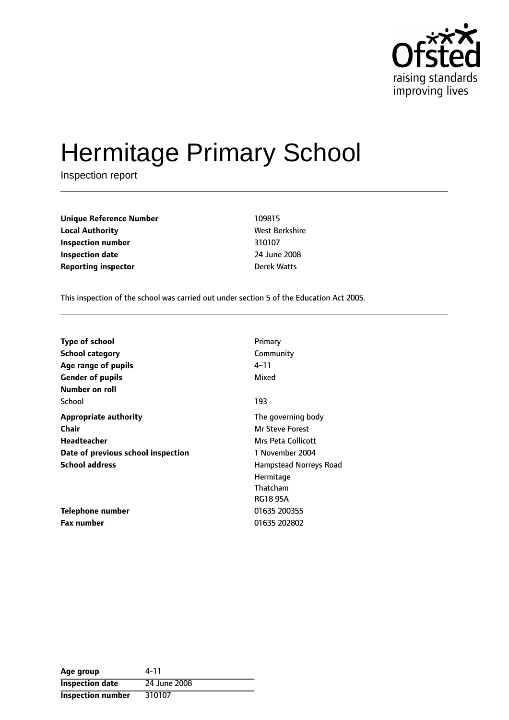

# Hermitage Primary School

Inspection report

| <b>Unique Reference Number</b> | 109815       |
|--------------------------------|--------------|
| <b>Local Authority</b>         | West Berkshi |
| Inspection number              | 310107       |
| <b>Inspection date</b>         | 24 June 2008 |
| <b>Reporting inspector</b>     | Derek Watts  |

**West Berkshire Inspection number** 310107 **Inspection date** 24 June 2008

This inspection of the school was carried out under section 5 of the Education Act 2005.

| <b>Type of school</b>              | Primary                |
|------------------------------------|------------------------|
| <b>School category</b>             | Community              |
| Age range of pupils                | 4–11                   |
| <b>Gender of pupils</b>            | Mixed                  |
| Number on roll                     |                        |
| School                             | 193                    |
| <b>Appropriate authority</b>       | The governing body     |
| <b>Chair</b>                       | <b>Mr Steve Forest</b> |
| Headteacher                        | Mrs Peta Collicott     |
| Date of previous school inspection | 1 November 2004        |
| <b>School address</b>              | Hampstead Norreys Road |
|                                    | Hermitage              |
|                                    | Thatcham               |
|                                    | <b>RG18 9SA</b>        |
| Telephone number                   | 01635 200355           |
| <b>Fax number</b>                  | 01635 202802           |

| Age group                | 4-11         |
|--------------------------|--------------|
| <b>Inspection date</b>   | 24 June 2008 |
| <b>Inspection number</b> | 310107       |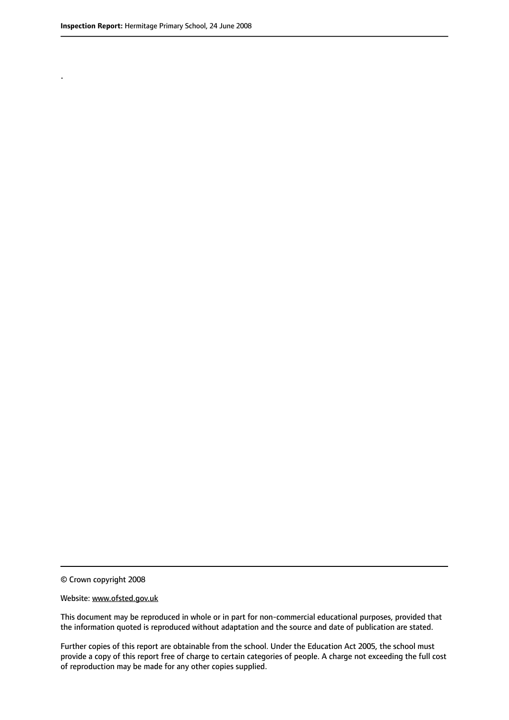.

© Crown copyright 2008

#### Website: www.ofsted.gov.uk

This document may be reproduced in whole or in part for non-commercial educational purposes, provided that the information quoted is reproduced without adaptation and the source and date of publication are stated.

Further copies of this report are obtainable from the school. Under the Education Act 2005, the school must provide a copy of this report free of charge to certain categories of people. A charge not exceeding the full cost of reproduction may be made for any other copies supplied.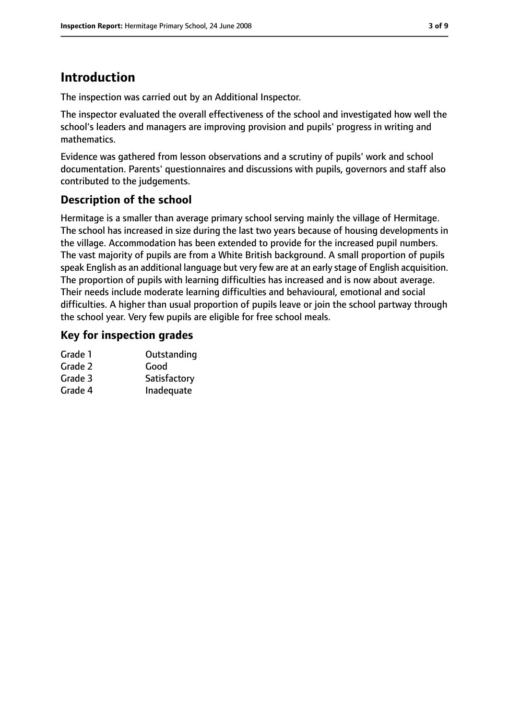# **Introduction**

The inspection was carried out by an Additional Inspector.

The inspector evaluated the overall effectiveness of the school and investigated how well the school's leaders and managers are improving provision and pupils' progress in writing and mathematics.

Evidence was gathered from lesson observations and a scrutiny of pupils' work and school documentation. Parents' questionnaires and discussions with pupils, governors and staff also contributed to the judgements.

#### **Description of the school**

Hermitage is a smaller than average primary school serving mainly the village of Hermitage. The school has increased in size during the last two years because of housing developments in the village. Accommodation has been extended to provide for the increased pupil numbers. The vast majority of pupils are from a White British background. A small proportion of pupils speak English as an additional language but very few are at an early stage of English acquisition. The proportion of pupils with learning difficulties has increased and is now about average. Their needs include moderate learning difficulties and behavioural, emotional and social difficulties. A higher than usual proportion of pupils leave or join the school partway through the school year. Very few pupils are eligible for free school meals.

#### **Key for inspection grades**

| Grade 1 | Outstanding  |
|---------|--------------|
| Grade 2 | Good         |
| Grade 3 | Satisfactory |
| Grade 4 | Inadequate   |
|         |              |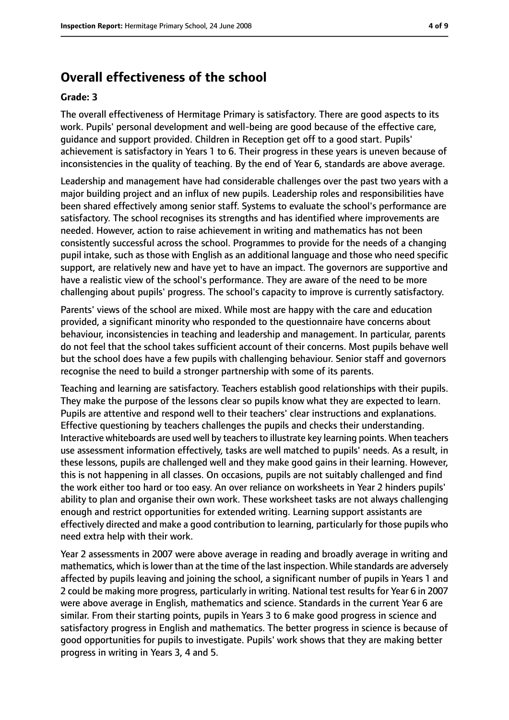#### **Overall effectiveness of the school**

#### **Grade: 3**

The overall effectiveness of Hermitage Primary is satisfactory. There are good aspects to its work. Pupils' personal development and well-being are good because of the effective care, guidance and support provided. Children in Reception get off to a good start. Pupils' achievement is satisfactory in Years 1 to 6. Their progress in these years is uneven because of inconsistencies in the quality of teaching. By the end of Year 6, standards are above average.

Leadership and management have had considerable challenges over the past two years with a major building project and an influx of new pupils. Leadership roles and responsibilities have been shared effectively among senior staff. Systems to evaluate the school's performance are satisfactory. The school recognises its strengths and has identified where improvements are needed. However, action to raise achievement in writing and mathematics has not been consistently successful across the school. Programmes to provide for the needs of a changing pupil intake, such as those with English as an additional language and those who need specific support, are relatively new and have yet to have an impact. The governors are supportive and have a realistic view of the school's performance. They are aware of the need to be more challenging about pupils' progress. The school's capacity to improve is currently satisfactory.

Parents' views of the school are mixed. While most are happy with the care and education provided, a significant minority who responded to the questionnaire have concerns about behaviour, inconsistencies in teaching and leadership and management. In particular, parents do not feel that the school takes sufficient account of their concerns. Most pupils behave well but the school does have a few pupils with challenging behaviour. Senior staff and governors recognise the need to build a stronger partnership with some of its parents.

Teaching and learning are satisfactory. Teachers establish good relationships with their pupils. They make the purpose of the lessons clear so pupils know what they are expected to learn. Pupils are attentive and respond well to their teachers' clear instructions and explanations. Effective questioning by teachers challenges the pupils and checks their understanding. Interactive whiteboards are used well by teachers to illustrate key learning points. When teachers use assessment information effectively, tasks are well matched to pupils' needs. As a result, in these lessons, pupils are challenged well and they make good gains in their learning. However, this is not happening in all classes. On occasions, pupils are not suitably challenged and find the work either too hard or too easy. An over reliance on worksheets in Year 2 hinders pupils' ability to plan and organise their own work. These worksheet tasks are not always challenging enough and restrict opportunities for extended writing. Learning support assistants are effectively directed and make a good contribution to learning, particularly for those pupils who need extra help with their work.

Year 2 assessments in 2007 were above average in reading and broadly average in writing and mathematics, which is lower than at the time of the last inspection. While standards are adversely affected by pupils leaving and joining the school, a significant number of pupils in Years 1 and 2 could be making more progress, particularly in writing. National test results for Year 6 in 2007 were above average in English, mathematics and science. Standards in the current Year 6 are similar. From their starting points, pupils in Years 3 to 6 make good progress in science and satisfactory progress in English and mathematics. The better progress in science is because of good opportunities for pupils to investigate. Pupils' work shows that they are making better progress in writing in Years 3, 4 and 5.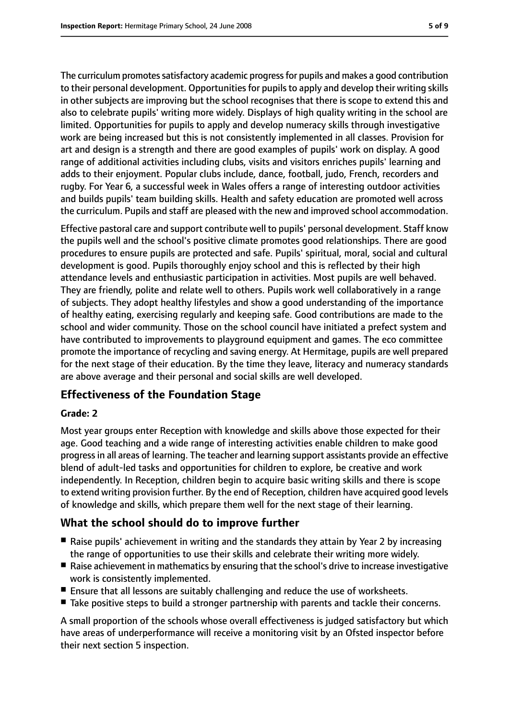The curriculum promotes satisfactory academic progress for pupils and makes a good contribution to their personal development. Opportunities for pupils to apply and develop their writing skills in other subjects are improving but the school recognises that there is scope to extend this and also to celebrate pupils' writing more widely. Displays of high quality writing in the school are limited. Opportunities for pupils to apply and develop numeracy skills through investigative work are being increased but this is not consistently implemented in all classes. Provision for art and design is a strength and there are good examples of pupils' work on display. A good range of additional activities including clubs, visits and visitors enriches pupils' learning and adds to their enjoyment. Popular clubs include, dance, football, judo, French, recorders and rugby. For Year 6, a successful week in Wales offers a range of interesting outdoor activities and builds pupils' team building skills. Health and safety education are promoted well across the curriculum. Pupils and staff are pleased with the new and improved school accommodation.

Effective pastoral care and support contribute well to pupils' personal development. Staff know the pupils well and the school's positive climate promotes good relationships. There are good procedures to ensure pupils are protected and safe. Pupils' spiritual, moral, social and cultural development is good. Pupils thoroughly enjoy school and this is reflected by their high attendance levels and enthusiastic participation in activities. Most pupils are well behaved. They are friendly, polite and relate well to others. Pupils work well collaboratively in a range of subjects. They adopt healthy lifestyles and show a good understanding of the importance of healthy eating, exercising regularly and keeping safe. Good contributions are made to the school and wider community. Those on the school council have initiated a prefect system and have contributed to improvements to playground equipment and games. The eco committee promote the importance of recycling and saving energy. At Hermitage, pupils are well prepared for the next stage of their education. By the time they leave, literacy and numeracy standards are above average and their personal and social skills are well developed.

### **Effectiveness of the Foundation Stage**

#### **Grade: 2**

Most year groups enter Reception with knowledge and skills above those expected for their age. Good teaching and a wide range of interesting activities enable children to make good progressin all areas of learning. The teacher and learning support assistants provide an effective blend of adult-led tasks and opportunities for children to explore, be creative and work independently. In Reception, children begin to acquire basic writing skills and there is scope to extend writing provision further. By the end of Reception, children have acquired good levels of knowledge and skills, which prepare them well for the next stage of their learning.

#### **What the school should do to improve further**

- Raise pupils' achievement in writing and the standards they attain by Year 2 by increasing the range of opportunities to use their skills and celebrate their writing more widely.
- Raise achievement in mathematics by ensuring that the school's drive to increase investigative work is consistently implemented.
- Ensure that all lessons are suitably challenging and reduce the use of worksheets.
- Take positive steps to build a stronger partnership with parents and tackle their concerns.

A small proportion of the schools whose overall effectiveness is judged satisfactory but which have areas of underperformance will receive a monitoring visit by an Ofsted inspector before their next section 5 inspection.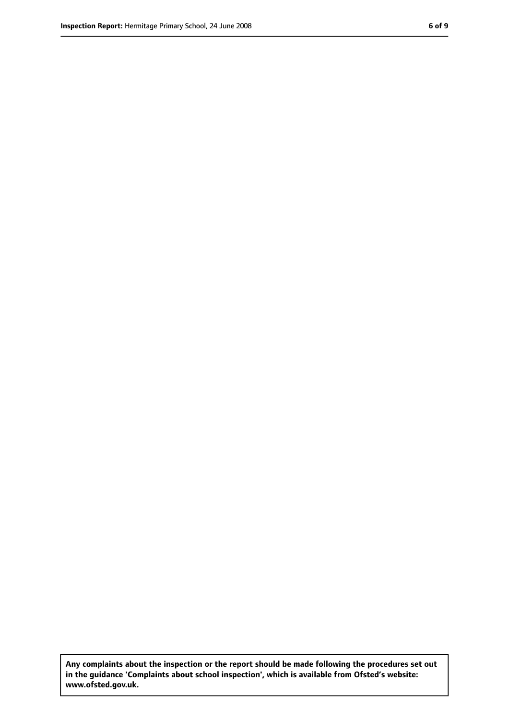**Any complaints about the inspection or the report should be made following the procedures set out in the guidance 'Complaints about school inspection', which is available from Ofsted's website: www.ofsted.gov.uk.**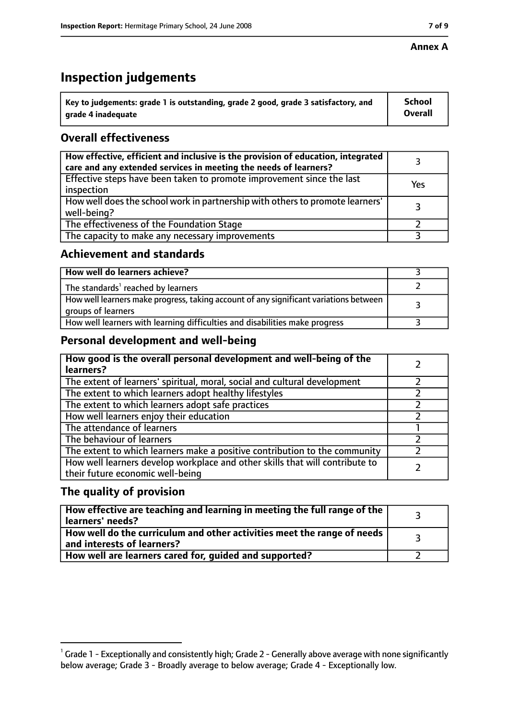#### **Annex A**

# **Inspection judgements**

| $^{\circ}$ Key to judgements: grade 1 is outstanding, grade 2 good, grade 3 satisfactory, and | <b>School</b>  |
|-----------------------------------------------------------------------------------------------|----------------|
| arade 4 inadequate                                                                            | <b>Overall</b> |

#### **Overall effectiveness**

| How effective, efficient and inclusive is the provision of education, integrated<br>care and any extended services in meeting the needs of learners? |     |
|------------------------------------------------------------------------------------------------------------------------------------------------------|-----|
| Effective steps have been taken to promote improvement since the last<br>inspection                                                                  | Yes |
| How well does the school work in partnership with others to promote learners'<br>well-being?                                                         |     |
| The effectiveness of the Foundation Stage                                                                                                            |     |
| The capacity to make any necessary improvements                                                                                                      |     |

#### **Achievement and standards**

| How well do learners achieve?                                                                               |  |
|-------------------------------------------------------------------------------------------------------------|--|
| The standards <sup>1</sup> reached by learners                                                              |  |
| How well learners make progress, taking account of any significant variations between<br>groups of learners |  |
| How well learners with learning difficulties and disabilities make progress                                 |  |

#### **Personal development and well-being**

| How good is the overall personal development and well-being of the<br>learners?                                  |  |
|------------------------------------------------------------------------------------------------------------------|--|
| The extent of learners' spiritual, moral, social and cultural development                                        |  |
| The extent to which learners adopt healthy lifestyles                                                            |  |
| The extent to which learners adopt safe practices                                                                |  |
| How well learners enjoy their education                                                                          |  |
| The attendance of learners                                                                                       |  |
| The behaviour of learners                                                                                        |  |
| The extent to which learners make a positive contribution to the community                                       |  |
| How well learners develop workplace and other skills that will contribute to<br>their future economic well-being |  |

#### **The quality of provision**

| How effective are teaching and learning in meeting the full range of the<br>learners' needs?          |  |
|-------------------------------------------------------------------------------------------------------|--|
| How well do the curriculum and other activities meet the range of needs<br>and interests of learners? |  |
| How well are learners cared for, guided and supported?                                                |  |

 $^1$  Grade 1 - Exceptionally and consistently high; Grade 2 - Generally above average with none significantly below average; Grade 3 - Broadly average to below average; Grade 4 - Exceptionally low.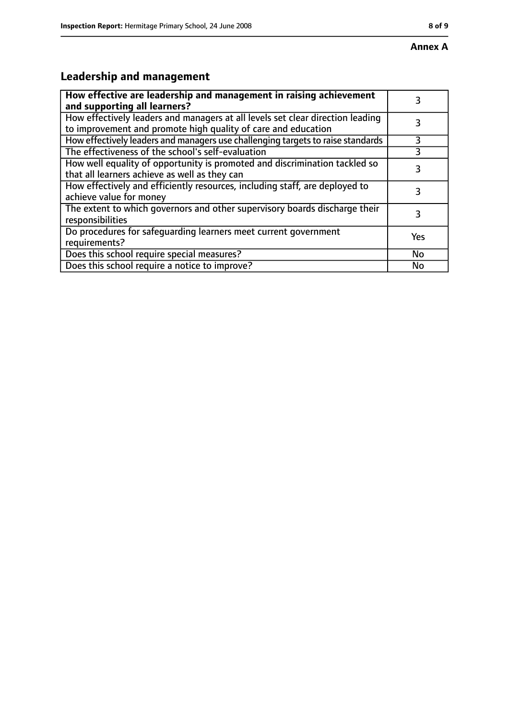# **Leadership and management**

| How effective are leadership and management in raising achievement<br>and supporting all learners?                                              |     |
|-------------------------------------------------------------------------------------------------------------------------------------------------|-----|
| How effectively leaders and managers at all levels set clear direction leading<br>to improvement and promote high quality of care and education |     |
| How effectively leaders and managers use challenging targets to raise standards                                                                 | 3   |
| The effectiveness of the school's self-evaluation                                                                                               | 3   |
| How well equality of opportunity is promoted and discrimination tackled so<br>that all learners achieve as well as they can                     | 3   |
| How effectively and efficiently resources, including staff, are deployed to<br>achieve value for money                                          | 3   |
| The extent to which governors and other supervisory boards discharge their<br>responsibilities                                                  | 3   |
| Do procedures for safequarding learners meet current government<br>requirements?                                                                | Yes |
| Does this school require special measures?                                                                                                      | No  |
| Does this school require a notice to improve?                                                                                                   | No  |